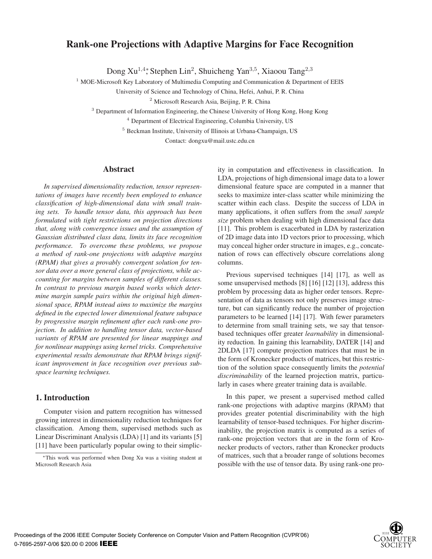# **Rank-one Projections with Adaptive Margins for Face Recognition**

Dong Xu<sup>1,4</sup>\*, Stephen Lin<sup>2</sup>, Shuicheng Yan<sup>3,5</sup>, Xiaoou Tang<sup>2,3</sup>

<sup>1</sup> MOE-Microsoft Key Laboratory of Multimedia Computing and Communication & Department of EEIS

University of Science and Technology of China, Hefei, Anhui, P. R. China

<sup>2</sup> Microsoft Research Asia, Beijing, P. R. China

<sup>3</sup> Department of Information Engineering, the Chinese University of Hong Kong, Hong Kong

<sup>4</sup> Department of Electrical Engineering, Columbia University, US

<sup>5</sup> Beckman Institute, University of Illinois at Urbana-Champaign, US

Contact: dongxu@mail.ustc.edu.cn

### **Abstract**

*In supervised dimensionality reduction, tensor representations of images have recently been employed to enhance classification of high-dimensional data with small training sets. To handle tensor data, this approach has been formulated with tight restrictions on projection directions that, along with convergence issues and the assumption of Gaussian distributed class data, limits its face recognition performance. To overcome these problems, we propose a method of rank-one projections with adaptive margins (RPAM) that gives a provably convergent solution for tensor data over a more general class of projections, while accounting for margins between samples of different classes. In contrast to previous margin based works which determine margin sample pairs within the original high dimensional space, RPAM instead aims to maximize the margins defined in the expected lower dimensional feature subspace by progressive margin refinement after each rank-one projection. In addition to handling tensor data, vector-based variants of RPAM are presented for linear mappings and for nonlinear mappings using kernel tricks. Comprehensive experimental results demonstrate that RPAM brings significant improvement in face recognition over previous subspace learning techniques.*

## **1. Introduction**

Computer vision and pattern recognition has witnessed growing interest in dimensionality reduction techniques for classification. Among them, supervised methods such as Linear Discriminant Analysis (LDA) [1] and its variants [5] [11] have been particularly popular owing to their simplicity in computation and effectiveness in classification. In LDA, projections of high dimensional image data to a lower dimensional feature space are computed in a manner that seeks to maximize inter-class scatter while minimizing the scatter within each class. Despite the success of LDA in many applications, it often suffers from the *small sample size* problem when dealing with high dimensional face data [11]. This problem is exacerbated in LDA by rasterization of 2D image data into 1D vectors prior to processing, which may conceal higher order structure in images, e.g., concatenation of rows can effectively obscure correlations along columns.

Previous supervised techniques [14] [17], as well as some unsupervised methods [8] [16] [12] [13], address this problem by processing data as higher order tensors. Representation of data as tensors not only preserves image structure, but can significantly reduce the number of projection parameters to be learned [14] [17]. With fewer parameters to determine from small training sets, we say that tensorbased techniques offer greater *learnability* in dimensionality reduction. In gaining this learnability, DATER [14] and 2DLDA [17] compute projection matrices that must be in the form of Kronecker products of matrices, but this restriction of the solution space consequently limits the *potential discriminability* of the learned projection matrix, particularly in cases where greater training data is available.

In this paper, we present a supervised method called rank-one projections with adaptive margins (RPAM) that provides greater potential discriminability with the high learnability of tensor-based techniques. For higher discriminability, the projection matrix is computed as a series of rank-one projection vectors that are in the form of Kronecker products of vectors, rather than Kronecker products of matrices, such that a broader range of solutions becomes possible with the use of tensor data. By using rank-one pro-



<sup>∗</sup>This work was performed when Dong Xu was a visiting student at Microsoft Research Asia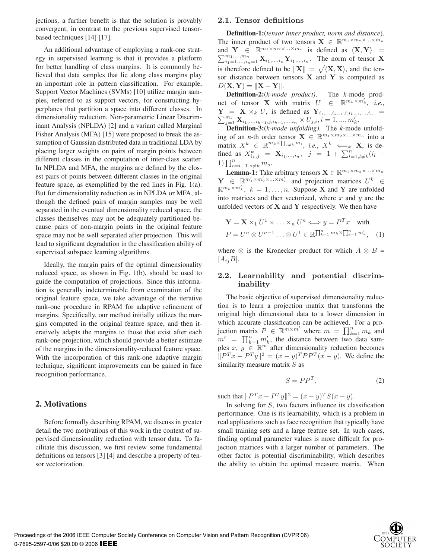jections, a further benefit is that the solution is provably convergent, in contrast to the previous supervised tensorbased techniques [14] [17].

An additional advantage of employing a rank-one strategy in supervised learning is that it provides a platform for better handling of class margins. It is commonly believed that data samples that lie along class margins play an important role in pattern classification. For example, Support Vector Machines (SVMs) [10] utilize margin samples, referred to as support vectors, for constructing hyperplanes that partition a space into different classes. In dimensionality reduction, Non-parametric Linear Discriminant Analysis (NPLDA) [2] and a variant called Marginal Fisher Analysis (MFA) [15] were proposed to break the assumption of Gaussian distributed data in traditional LDA by placing larger weights on pairs of margin points between different classes in the computation of inter-class scatter. In NPLDA and MFA, the margins are defined by the closest pairs of points between different classes in the original feature space, as exemplified by the red lines in Fig. 1(a). But for dimensionality reduction as in NPLDA or MFA, although the defined pairs of margin samples may be well separated in the eventual dimensionality reduced space, the classes themselves may not be adequately partitioned because pairs of non-margin points in the original feature space may not be well separated after projection. This will lead to significant degradation in the classification ability of supervised subspace learning algorithms.

Ideally, the margin pairs of the optimal dimensionality reduced space, as shown in Fig. 1(b), should be used to guide the computation of projections. Since this information is generally indeterminable from examination of the original feature space, we take advantage of the iterative rank-one procedure in RPAM for adaptive refinement of margins. Specifically, our method initially utilizes the margins computed in the original feature space, and then iteratively adapts the margins to those that exist after each rank-one projection, which should provide a better estimate of the margins in the dimensionality-reduced feature space. With the incorporation of this rank-one adaptive margin technique, significant improvements can be gained in face recognition performance.

#### **2. Motivations**

Before formally describing RPAM, we discuss in greater detail the two motivations of this work in the context of supervised dimensionality reduction with tensor data. To facilitate this discussion, we first review some fundamental definitions on tensors [3] [4] and describe a property of tensor vectorization.

#### **2.1. Tensor definitions**

**Definition-1:**(*tensor inner product, norm and distance*). The inner product of two tensors  $\mathbf{X} \in \mathbb{R}^{m_1 \times m_2 \times \ldots \times m_n}$ and  $\mathbf{Y} \in \mathbb{R}^{m_1 \times m_2 \times \ldots \times m_n}$  is defined as  $\langle \mathbf{X}, \mathbf{Y} \rangle =$ and  $\mathbf{Y} \in \mathbb{R}^{m_1 \times m_2 \times \ldots \times m_n}$  is defined as  $\langle \mathbf{X}, \mathbf{Y} \rangle = \sum_{i_1=1,\ldots,i_n=1}^{m_1,\ldots,m_n} \mathbf{X}_{i_1,\ldots,i_n} \mathbf{Y}_{i_1,\ldots,i_n}$ . The norm of tensor **X** is therefore defined to be  $\|\mathbf{X}\| = \sqrt{\langle \mathbf{X}, \mathbf{X} \rangle}$ , and the tensor distance between tensors **X** and **Y** is computed as  $D(\mathbf{X}, \mathbf{Y}) = ||\mathbf{X} - \mathbf{Y}||.$ 

**Definition-2:**(*k-mode product)*. The *k*-mode product of tensor **X** with matrix  $U \in \mathbb{R}^{m_k \times m'_k}$ , *i.e.*,  $\mathbf{Y} = \mathbf{X} \times_k U$ , is defined as  $\mathbf{Y}_{i_1,\dots,i_{k-1},i,i_{k+1},\dots,i_n} = \sum_{k=1}^{m_k} \mathbf{X}_{i_1,\dots,i_{k-1}}$  $\sum_{j=1}^{m_k} \mathbf{X}_{i_1,...,i_{k-1},j,i_{k+1},...,i_n} \times U_{j,i}, i = 1,...,m'_k.$ 

**Definition-3:**(*k-mode unfolding)*. The *k*-mode unfolding of an *n*-th order tensor  $\mathbf{X} \in \mathbb{R}^{m_1 \times m_2 \times \ldots \times m_n}$  into a matrix  $X^k \in \mathbb{R}^{m_k \times \prod_{i \neq k} m_i}$ , *i.e.*,  $X^k \leftarrow_k \mathbf{X}$ , is defined as  $X_{i_k,j}^k = \mathbf{X}_{i_1,...,i_n}$ ,  $j = 1 + \sum_{l=1,l \neq k}^{n} (i_l -$ 1)  $\prod_{o=l+1,o\neq k}^{n} m_o$ .

**Lemma-1:** Take arbitrary tensors  $\mathbf{X} \in \mathbb{R}^{m_1 \times m_2 \times \ldots \times m_n}$  $\mathbf{Y} \in \mathbb{R}^{m'_1 \times m'_2 \times \ldots \times m'_n}$  and projection matrices  $U^k \in$  $\mathbb{R}^{m_k \times m'_k}$ ,  $k = 1, ..., n$ . Suppose **X** and **Y** are unfolded into matrices and then vectorized, where  $x$  and  $y$  are the unfolded vectors of **X** and **Y** respectively. We then have

$$
\mathbf{Y} = \mathbf{X} \times_1 U^1 \times \ldots \times_n U^n \Longleftrightarrow y = P^T x \text{ with}
$$
  

$$
P = U^n \otimes U^{n-1} \ldots \otimes U^1 \in \mathbb{R}^{\prod_{k=1}^n m_k \times \prod_{k=1}^n m'_k}, \quad (1)
$$

where  $\otimes$  is the Kronecker product for which  $A \otimes B =$  $[A_{ij}B].$ 

#### **2.2. Learnability and potential discriminability**

The basic objective of supervised dimensionality reduction is to learn a projection matrix that transforms the original high dimensional data to a lower dimension in which accurate classification can be achieved. For a projection matrix  $P \in \mathbb{R}^{m \times m'}$  where  $m = \prod_{k=1}^{n} m_k$  and  $m' = \prod_{k=1}^{n} m'_k$ , the distance between two data samples  $x, y \in \mathbb{R}^m$  after dimensionality reduction becomes  $||P^T x - P^T y||^2 = (x - y)^T P P^T (x - y)$ . We define the similarity measure matrix  $S$  as

$$
S = PP^T,\t\t(2)
$$

such that  $||P^T x - P^T y||^2 = (x - y)^T S(x - y)$ .

In solving for  $S$ , two factors influence its classification performance. One is its learnability, which is a problem in real applications such as face recognition that typically have small training sets and a large feature set. In such cases, finding optimal parameter values is more difficult for projection matrices with a larger number of parameters. The other factor is potential discriminability, which describes the ability to obtain the optimal measure matrix. When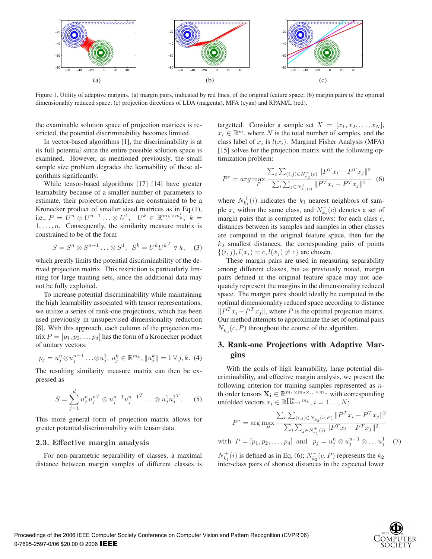

Figure 1. Utility of adaptive margins. (a) margin pairs, indicated by red lines, of the original feature space; (b) margin pairs of the optimal dimensionality reduced space; (c) projection directions of LDA (magenta), MFA (cyan) and RPAM/L (red).

the examinable solution space of projection matrices is restricted, the potential discriminability becomes limited.

In vector-based algorithms [1], the discriminability is at its full potential since the entire possible solution space is examined. However, as mentioned previously, the small sample size problem degrades the learnability of these algorithms significantly.

While tensor-based algorithms [17] [14] have greater learnability because of a smaller number of parameters to estimate, their projection matrices are constrained to be a Kronecker product of smaller sized matrices as in Eq.(1), i.e.,  $P = U^n \otimes U^{n-1} \dots \otimes U^1$ ,  $U^k \in \mathbb{R}^{m_k \times m'_k}$ ,  $k =$  $1, \ldots, n$ . Consequently, the similarity measure matrix is constrained to be of the form

$$
S = S^n \otimes S^{n-1} \dots \otimes S^1, \quad S^k = U^k U^{k^T} \forall k, \quad (3)
$$

which greatly limits the potential discriminability of the derived projection matrix. This restriction is particularly limiting for large training sets, since the additional data may not be fully exploited.

To increase potential discriminability while maintaining the high learnability associated with tensor representations, we utilize a series of rank-one projections, which has been used previously in unsupervised dimensionality reduction [8]. With this approach, each column of the projection matrix  $P = [p_1, p_2, ..., p_d]$  has the form of a Kronecker product of unitary vectors:

$$
p_j = u_j^n \otimes u_j^{n-1} \dots \otimes u_j^1, \ u_j^k \in \mathbb{R}^{m_k}, ||u_j^k|| = 1 \,\forall \, j, k. \tag{4}
$$

The resulting similarity measure matrix can then be expressed as

$$
S = \sum_{j=1}^{d} u_j^n u_j^{n} \otimes u_j^{n-1} u_j^{n-1} \dots \otimes u_j^1 u_j^{1}.
$$
 (5)

This more general form of projection matrix allows for greater potential discriminability with tensor data.

#### **2.3. Effective margin analysis**

For non-parametric separability of classes, a maximal distance between margin samples of different classes is targetted. Consider a sample set  $X = [x_1, x_2, \ldots, x_N],$  $x_i \in \mathbb{R}^m$ , where N is the total number of samples, and the class label of  $x_i$  is  $l(x_i)$ . Marginal Fisher Analysis (MFA) [15] solves for the projection matrix with the following optimization problem:

$$
P^* = \arg \max_{P} \frac{\sum_{c} \sum_{(i,j) \in N_{k_2}(c)} ||P^T x_i - P^T x_j||^2}{\sum_{i} \sum_{j \in N_{k_1(i)}^+} ||P^T x_i - P^T x_j||^2} \tag{6}
$$

where  $N_{k_1}^+(i)$  indicates the  $k_1$  nearest neighbors of sample  $x_i$  within the same class, and  $N_{k_2}^-(c)$  denotes a set of margin pairs that is computed as follows: for each class c, distances between its samples and samples in other classes are computed in the original feature space, then for the  $k_2$  smallest distances, the corresponding pairs of points  $\{(i, j), l(x_i) = c, l(x_j) \neq c\}$  are chosen.

These margin pairs are used in measuring separability among different classes, but as previously noted, margin pairs defined in the original feature space may not adequately represent the margins in the dimensionality reduced space. The margin pairs should ideally be computed in the optimal dimensionality reduced space according to distance  $||P^T x_i - P^T x_i||$ , where P is the optimal projection matrix. Our method attempts to approximate the set of optimal pairs  $N_{k_2}^-(c, P)$  throughout the course of the algorithm.

## **3. Rank-one Projections with Adaptive Margins**

With the goals of high learnability, large potential discriminability, and effective margin analysis, we present the following criterion for training samples represented as nth order tensors  $X_i \in \mathbb{R}^{m_1 \times m_2 \times \ldots \times m_n}$  with corresponding unfolded vectors  $x_i \in \mathbb{R}^{\prod_{k=1}^{n} m_k}$ ,  $i = 1, ..., N$ :

$$
P^* = \arg\max_{P} \frac{\sum_{c} \sum_{(i,j) \in N_{k_2}^-(c,P)} ||P^T x_i - P^T x_j||^2}{\sum_{i} \sum_{j \in N_{k_1}^+(i)} ||P^T x_i - P^T x_j||^2}
$$
  
with  $P = [p_1, p_2, \dots, p_d]$  and  $p_j = u_j^n \otimes u_j^{n-1} \otimes \dots u_j^1$ . (7)

 $N_{k_1}^+(i)$  is defined as in Eq. (6);  $N_{k_2}^-(c, P)$  represents the  $k_2$ inter-class pairs of shortest distances in the expected lower

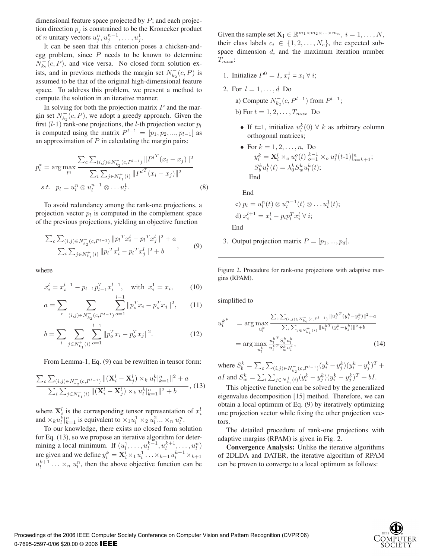dimensional feature space projected by  $P$ ; and each projection direction  $p_i$  is constrained to be the Kronecker product of *n* unitary vectors  $u_i^n, u_i^{n-1}, \ldots, u_i^1$ .

It can be seen that this criterion poses a chicken-andegg problem, since  $P$  needs to be known to determine  $N_{k_2}^-(c, P)$ , and vice versa. No closed form solution exists, and in previous methods the margin set  $N_{k_2}^-(c, P)$  is assumed to be that of the original high-dimensional feature space. To address this problem, we present a method to compute the solution in an iterative manner.

In solving for both the projection matrix  $P$  and the margin set  $N_{k_2}^-(c, P)$ , we adopt a greedy approach. Given the first  $(l-1)$  rank-one projections, the *l*-th projection vector  $p_l$ is computed using the matrix  $P^{l-1} = [p_1, p_2, ..., p_{l-1}]$  as an approximation of  $P$  in calculating the margin pairs:

$$
p_l^* = \arg \max_{p_l} \frac{\sum_{c} \sum_{(i,j) \in N_{k_2}^- (c, P^{l-1})} ||P^{l^T}(x_i - x_j)||^2}{\sum_{i} \sum_{j \in N_{k_1}^+(i)} ||P^{l^T}(x_i - x_j)||^2}
$$
  
s.t.  $p_l = u_l^n \otimes u_l^{n-1} \otimes \dots u_l^1.$  (8)

To avoid redundancy among the rank-one projections, a projection vector  $p_l$  is computed in the complement space of the previous projections, yielding an objective function

$$
\frac{\sum_{c}\sum_{(i,j)\in N_{k_2}^-(c,P^{l-1})}||p_l^T x_i^l - p_l^T x_j^l||^2 + a}{\sum_{i}\sum_{j\in N_{k_1}^+(i)}||p_l^T x_i^l - p_l^T x_j^l||^2 + b},\qquad(9)
$$

where

$$
x_i^l = x_i^{l-1} - p_{l-1} p_{l-1}^T x_i^{l-1}, \quad \text{with } x_i^1 = x_i,
$$
 (10)

$$
a = \sum_{c} \sum_{(i,j) \in N_{k_2}^- (c, P^{l-1})} \sum_{o=1}^{c} ||p_o^T x_i - p_o^T x_j||^2, \qquad (11)
$$

$$
b = \sum_{i} \sum_{j \in N_{k_1}^+(i)} \sum_{o=1}^{l-1} ||p_o^T x_i - p_o^T x_j||^2.
$$
 (12)

From Lemma-1, Eq. (9) can be rewritten in tensor form:

$$
\frac{\sum_{c} \sum_{(i,j) \in N_{k_2}^-(c, P^{l-1})} \|(\mathbf{X}_i^l - \mathbf{X}_j^l) \times_k u_l^k\|_{k=1}^n\|^2 + a}{\sum_{i} \sum_{j \in N_{k_1}^+(i)} \|(\mathbf{X}_i^l - \mathbf{X}_j^l) \times_k u_l^k\|_{k=1}^n\|^2 + b},
$$
(13)

where  $\mathbf{X}_i^l$  is the corresponding tensor representation of  $x_i^l$  and  $\times_k u_l^l \mid_{k=1}^n$  is equivalent to  $\times_1 u_l^1 \times_2 u_l^2 \dots \times_n u_l^n$ .

To our knowledge, there exists no closed form solution for Eq. (13), so we propose an iterative algorithm for determining a local minimum. If  $(u_l^1, \ldots, u_l^{k-1}, u_l^{k+1}, \ldots, u_l^n)$ are given and we define  $y_i^k = \mathbf{X}_i^l \times_1 u_l^1 \dots \times_{k-1} u_l^{k-1} \times_{k+1}$  $u_l^{k+1}$  ...  $\times_n u_l^n$ , then the above objective function can be Given the sample set  $\mathbf{X_i} \in \mathbb{R}^{m_1 \times m_2 \times \ldots \times m_n}$ ,  $i = 1, \ldots, N$ , their class labels  $c_i \in \{1, 2, \ldots, N_c\}$ , the expected subspace dimension d, and the maximum iteration number  $T_{max}$ :

- 1. Initialize  $P^0 = I$ ,  $x_i^1 = x_i \forall i$ ;
- 2. For  $l = 1, ..., d$  Do
	- a) Compute  $N_{k_2}^-(c, P^{l-1})$  from  $P^{l-1}$ ;
	- b) For  $t = 1, 2, \ldots, T_{max}$  Do
		- If  $t=1$ , initialize  $u_l^k(0) \forall k$  as arbitrary column orthogonal matrices;

• For 
$$
k = 1, 2, ..., n
$$
, Do  
\n
$$
y_i^k = \mathbf{X}_i^l \times_o u_l^o(t)|_{o=1}^{k-1} \times_o u_l^o(t-1)|_{o=k+1}^{n}
$$
\n
$$
S_b^k u_l^k(t) = \lambda_0^k S_w^k u_l^k(t);
$$
\nEnd

End

c) 
$$
p_l = u_l^n(t) \otimes u_l^{n-1}(t) \otimes \dots u_l^1(t);
$$
  
d)  $x_i^{l+1} = x_i^l - p_l p_l^T x_i^l \forall i;$ 

End

3. Output projection matrix  $P = [p_1, ..., p_d]$ .

Figure 2. Procedure for rank-one projections with adaptive margins (RPAM).

simplified to

$$
u_l^{k^*} = \arg \max_{u_l^k} \frac{\sum_c \sum_{(i,j) \in N_{k_2}^-(c, pl-1)} \|u_l^{k^T} (y_i^k - y_j^k)\|^2 + a}{\sum_i \sum_{j \in N_{k_1}^+(i)} \|u_l^{k^T} (y_i^k - y_j^k)\|^2 + b}
$$
  
= 
$$
\arg \max_{u_l^k} \frac{u_l^{k^T} S_b^k u_l^k}{u_l^{k^T} S_w^k u_l^k},
$$
 (14)

where  $S_b^k = \sum_c \sum_{(i,j) \in N_{k_2}^-(c, P^{l-1})} (y_i^k - y_j^k)(y_i^k - y_j^k)^T +$ *aI* and  $S_w^k = \sum_i \sum_{j \in N_{k_1}^+(i)} (y_i^k - y_j^k)(y_i^k - y_j^k)^T + bI$ .

This objective function can be solved by the generalized eigenvalue decomposition [15] method. Therefore, we can obtain a local optimum of Eq. (9) by iteratively optimizing one projection vector while fixing the other projection vectors.

The detailed procedure of rank-one projections with adaptive margins (RPAM) is given in Fig. 2.

**Convergence Analysis:** Unlike the iterative algorithms of 2DLDA and DATER, the iterative algorithm of RPAM can be proven to converge to a local optimum as follows:

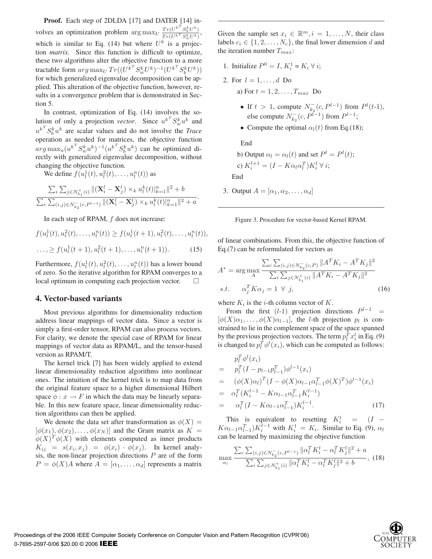**Proof.** Each step of 2DLDA [17] and DATER [14] involves an optimization problem arg max $U \frac{Tr(U^{kT} S_b^k U^k)}{T(U^{kT} S_b^k U^k)}$  $\frac{Tr(U^{kT}S^k_wU^k)}{Tr(U^{kT}S^k_wU^k)},$ which is similar to Eq. (14) but where  $U^k$  is a projection *matrix*. Since this function is difficult to optimize, these two algorithms alter the objective function to a more tractable form  $arg \max_U Tr((U^{k^T} S_w^k U^k)^{-1} (U^{k^T} S_b^k U^k))$ for which generalized eigenvalue decomposition can be applied. This alteration of the objective function, however, results in a convergence problem that is demonstrated in Section 5.

In contrast, optimization of Eq. (14) involves the solution of only a projection *vector*. Since  $u^{kT} S_w^k u^k$  and  $u^{k} S_h^k u^k$  are scalar values and do not involve the *Trace* operation as needed for matrices, the objective function  $arg \max_u (u^{kT} S_w^k u^k)^{-1} (u^{kT} S_h^k u^k)$  can be optimized directly with generalized eigenvalue decomposition, without changing the objective function.

We define  $f(u_l^1(t), u_l^2(t), \ldots, u_l^n(t))$  as

$$
\frac{\sum_{i}\sum_{j\in N_{k_1}^+(i)}\|({\bf X}_{i}^l-{\bf X}_{j}^l)\times_k u_{l}^k(t)\|_{k=1}^n\|^2+b}{\sum_{c}\sum_{(i,j)\in N_{k_2}^-(c,P^{l-1})}\|({\bf X}_{i}^l-{\bf X}_{j}^l)\times_k u_{l}^k(t)\|_{k=1}^n\|^2+a}.
$$

In each step of RPAM,  $f$  does not increase:

$$
f(u_l^1(t), u_l^2(t), \dots, u_l^n(t)) \ge f(u_l^1(t+1), u_l^2(t), \dots, u_l^n(t)),
$$
  

$$
\dots \ge f(u_l^1(t+1), u_l^2(t+1), \dots, u_l^n(t+1)).
$$
 (15)

Furthermore,  $f(u_l^1(t), u_l^2(t), \ldots, u_l^n(t))$  has a lower bound of zero. So the iterative algorithm for RPAM converges to a local optimum in computing each projection vector.  $\Box$ 

#### **4. Vector-based variants**

Most previous algorithms for dimensionality reduction address linear mappings of vector data. Since a vector is simply a first-order tensor, RPAM can also process vectors. For clarity, we denote the special case of RPAM for linear mappings of vector data as RPAM/L, and the tensor-based version as RPAM/T.

The kernel trick [7] has been widely applied to extend linear dimensionality reduction algorithms into nonlinear ones. The intuition of the kernel trick is to map data from the original feature space to a higher dimensional Hilbert space  $\phi: x \to F$  in which the data may be linearly separable. In this new feature space, linear dimensionality reduction algorithms can then be applied.

We denote the data set after transformation as  $\phi(X)$  =  $[\phi(x_1), \phi(x_2), \ldots, \phi(x_N)]$  and the Gram matrix as  $K =$  $\phi(X)^T \phi(X)$  with elements computed as inner products  $K_{ij} = s(x_i, x_j) = \phi(x_i) \cdot \phi(x_j)$ . In kernel analysis, the non-linear projection directions  $P$  are of the form  $P = \phi(X)A$  where  $A = [\alpha_1, \dots, \alpha_d]$  represents a matrix

Given the sample set  $x_i \in \mathbb{R}^m$ ,  $i = 1, \ldots, N$ , their class labels  $c_i \in \{1, 2, \ldots, N_c\}$ , the final lower dimension d and the iteration number  $T_{max}$ :

- 1. Initialize  $P^0 = I$ ,  $K_i^1 = K_i \ \forall i$ ;
- 2. For  $l = 1, ..., d$  Do

a) For  $t = 1, 2, \ldots, T_{max}$  Do

- If  $t > 1$ , compute  $N_{k_2}^-(c, P^{l-1})$  from  $P^l(t-1)$ , else compute  $N_{k_2}^-(c, P^{l-1})$  from  $P^{l-1}$ ;
- Compute the optimal  $\alpha_l(t)$  from Eq.(18);

End

b) Output 
$$
\alpha_l = \alpha_l(t)
$$
 and set  $P^l = P^l(t)$ ;  
c)  $K_i^{l+1} = (I - K\alpha_l\alpha_l^T)K_i^l \ \forall i$ ;  
End

3. Output  $A = [\alpha_1, \alpha_2, \ldots, \alpha_d]$ 

Figure 3. Procedure for vector-based Kernel RPAM.

of linear combinations. From this, the objective function of Eq.(7) can be reformulated for vectors as

$$
A^* = \arg\max_{A} \frac{\sum_{c} \sum_{(i,j) \in N_{k_2}^-(c,P)} \|A^T K_i - A^T K_j\|^2}{\sum_{i} \sum_{j \in N_{k_1}^+(i)} \|A^T K_i - A^T K_j\|^2}
$$
  
s.t.  $\alpha_j^T K \alpha_j = 1 \ \forall \ j,$  (16)

where  $K_i$  is the *i*-th column vector of K.

From the first (l-1) projection directions  $P^{l-1}$  =  $[\phi(X)\alpha_1,\ldots,\phi(X)\alpha_{l-1}]$ , the *l*-th projection  $p_l$  is constrained to lie in the complement space of the space spanned by the previous projection vectors. The term  $p_l^T x_i^l$  in Eq. (9) is changed to  $p_l^T \phi^l(x_i)$ , which can be computed as follows:

$$
p_l^T \phi^l(x_i)
$$
  
=  $p_l^T (I - p_{l-1} p_{l-1}^T) \phi^{l-1}(x_i)$   
=  $(\phi(X)\alpha_l)^T (I - \phi(X)\alpha_{l-1}\alpha_{l-1}^T \phi(X)^T) \phi^{l-1}(x_i)$   
=  $\alpha_l^T (K_i^{l-1} - K\alpha_{l-1}\alpha_{l-1}^T K_i^{l-1})$   
=  $\alpha_l^T (I - K\alpha_{l-1}\alpha_{l-1}^T) K_i^{l-1}$ . (17)

This is equivalent to resetting  $K_i^l = (I K\alpha_{l-1}\alpha_{l-1}^T K_i^{l-1}$  with  $K_i^1 = K_i$ . Similar to Eq. (9),  $\alpha_l$ can be learned by maximizing the objective function

$$
\max_{\alpha_l} \frac{\sum_{c} \sum_{(i,j) \in N_{k_2}^-(c, P^{l-1})} \|\alpha_l^T K_i^l - \alpha_l^T K_j^l\|^2 + a}{\sum_{i} \sum_{j \in N_{k_1}^+(i)} \|\alpha_l^T K_i^l - \alpha_l^T K_j^l\|^2 + b},
$$
(18)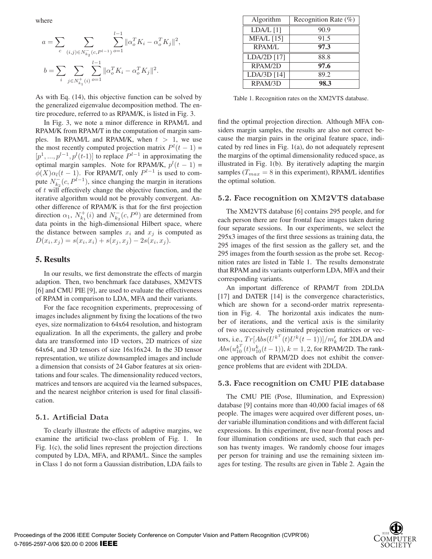where

$$
a = \sum_{c} \sum_{(i,j) \in N_{k_2}^- (c, P^{l-1})} \sum_{o=1}^{l-1} \|\alpha_o^T K_i - \alpha_o^T K_j\|^2,
$$
  

$$
b = \sum_{i} \sum_{j \in N_{k_1}^+ (i)} \sum_{o=1}^{l-1} \|\alpha_o^T K_i - \alpha_o^T K_j\|^2.
$$

As with Eq. (14), this objective function can be solved by the generalized eigenvalue decomposition method. The entire procedure, referred to as RPAM/K, is listed in Fig. 3.

In Fig. 3, we note a minor difference in RPAM/L and RPAM/K from RPAM/T in the computation of margin samples. In RPAM/L and RPAM/K, when  $t > 1$ , we use the most recently computed projection matrix  $P^{l}(t-1) =$  $[p<sup>1</sup>, ..., p<sup>l-1</sup>, p<sup>l</sup>(t-1)]$  to replace  $P<sup>l-1</sup>$  in approximating the optimal margin samples. Note for RPAM/K,  $p^{l}(t-1)$  =  $\phi(X)\alpha_l(t-1)$ . For RPAM/T, only  $P^{l-1}$  is used to compute  $N_{k_2}^-(c, P^{l-1})$ , since changing the margin in iterations of t will effectively change the objective function, and the iterative algorithm would not be provably convergent. Another difference of RPAM/K is that for the first projection direction  $\alpha_1$ ,  $N_{k_1}^+(i)$  and  $N_{k_2}^-(c, P^0)$  are determined from data points in the high-dimensional Hilbert space, where the distance between samples  $x_i$  and  $x_j$  is computed as  $D(x_i, x_j) = s(x_i, x_i) + s(x_j, x_j) - 2s(x_i, x_j).$ 

#### **5. Results**

In our results, we first demonstrate the effects of margin adaption. Then, two benchmark face databases, XM2VTS [6] and CMU PIE [9], are used to evaluate the effectiveness of RPAM in comparison to LDA, MFA and their variants.

For the face recognition experiments, preprocessing of images includes alignment by fixing the locations of the two eyes, size normalization to 64x64 resolution, and histogram equalization. In all the experiments, the gallery and probe data are transformed into 1D vectors, 2D matrices of size 64x64, and 3D tensors of size 16x16x24. In the 3D tensor representation, we utilize downsampled images and include a dimension that consists of 24 Gabor features at six orientations and four scales. The dimensionality reduced vectors, matrices and tensors are acquired via the learned subspaces, and the nearest neighbor criterion is used for final classification.

#### **5.1. Artificial Data**

To clearly illustrate the effects of adaptive margins, we examine the artificial two-class problem of Fig. 1. In Fig. 1(c), the solid lines represent the projection directions computed by LDA, MFA, and RPAM/L. Since the samples in Class 1 do not form a Gaussian distribution, LDA fails to

| Algorithm         | Recognition Rate (%) |
|-------------------|----------------------|
| $LDA/L$ [1]       | 90.9                 |
| <b>MFA/L</b> [15] | 91.5                 |
| <b>RPAM/L</b>     | 97.3                 |
| LDA/2D [17]       | 88.8                 |
| RPAM/2D           | 97.6                 |
| LDA/3D [14]       | 89.2                 |
| RPAM/3D           | 98.3                 |

Table 1. Recognition rates on the XM2VTS database.

find the optimal projection direction. Although MFA considers margin samples, the results are also not correct because the margin pairs in the original feature space, indicated by red lines in Fig. 1(a), do not adequately represent the margins of the optimal dimensionality reduced space, as illustrated in Fig. 1(b). By iteratively adapting the margin samples ( $T_{max} = 8$  in this experiment), RPAM/L identifies the optimal solution.

#### **5.2. Face recognition on XM2VTS database**

The XM2VTS database [6] contains 295 people, and for each person there are four frontal face images taken during four separate sessions. In our experiments, we select the 295x3 images of the first three sessions as training data, the 295 images of the first session as the gallery set, and the 295 images from the fourth session as the probe set. Recognition rates are listed in Table 1. The results demonstrate that RPAM and its variants outperform LDA, MFA and their corresponding variants.

An important difference of RPAM/T from 2DLDA [17] and DATER [14] is the convergence characteristics, which are shown for a second-order matrix representation in Fig. 4. The horizontal axis indicates the number of iterations, and the vertical axis is the similarity of two successively estimated projection matrices or vectors, i.e.,  $Tr[Abs(U^{k^T}(t)U^k(t-1))] / m_k'$  for 2DLDA and  $Abs(u_{10}^{k^T}(t)u_{10}^k(t-1)), k = 1, 2$ , for RPAM/2D. The rankone approach of RPAM/2D does not exhibit the convergence problems that are evident with 2DLDA.

#### **5.3. Face recognition on CMU PIE database**

The CMU PIE (Pose, Illumination, and Expression) database [9] contains more than 40,000 facial images of 68 people. The images were acquired over different poses, under variable illumination conditions and with different facial expressions. In this experiment, five near-frontal poses and four illumination conditions are used, such that each person has twenty images. We randomly choose four images per person for training and use the remaining sixteen images for testing. The results are given in Table 2. Again the